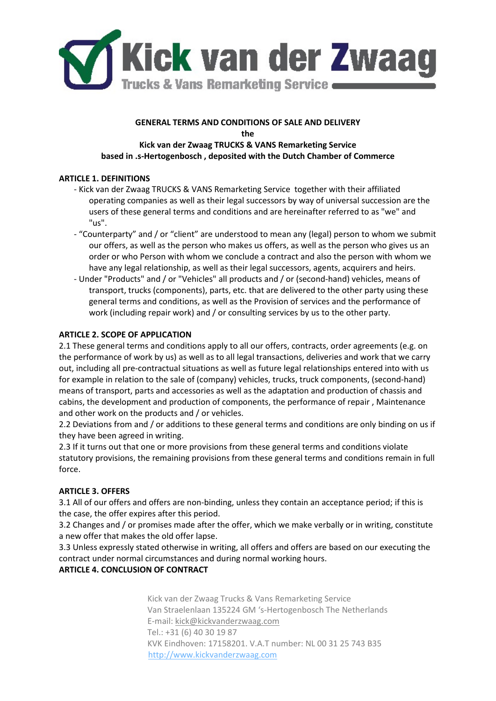

#### **GENERAL TERMS AND CONDITIONS OF SALE AND DELIVERY the**

# **Kick van der Zwaag TRUCKS & VANS Remarketing Service based in .s-Hertogenbosch , deposited with the Dutch Chamber of Commerce**

## **ARTICLE 1. DEFINITIONS**

- Kick van der Zwaag TRUCKS & VANS Remarketing Service together with their affiliated operating companies as well as their legal successors by way of universal succession are the users of these general terms and conditions and are hereinafter referred to as "we" and "us".
- "Counterparty" and / or "client" are understood to mean any (legal) person to whom we submit our offers, as well as the person who makes us offers, as well as the person who gives us an order or who Person with whom we conclude a contract and also the person with whom we have any legal relationship, as well as their legal successors, agents, acquirers and heirs.
- Under "Products" and / or "Vehicles" all products and / or (second-hand) vehicles, means of transport, trucks (components), parts, etc. that are delivered to the other party using these general terms and conditions, as well as the Provision of services and the performance of work (including repair work) and / or consulting services by us to the other party.

## **ARTICLE 2. SCOPE OF APPLICATION**

2.1 These general terms and conditions apply to all our offers, contracts, order agreements (e.g. on the performance of work by us) as well as to all legal transactions, deliveries and work that we carry out, including all pre-contractual situations as well as future legal relationships entered into with us for example in relation to the sale of (company) vehicles, trucks, truck components, (second-hand) means of transport, parts and accessories as well as the adaptation and production of chassis and cabins, the development and production of components, the performance of repair , Maintenance and other work on the products and / or vehicles.

2.2 Deviations from and / or additions to these general terms and conditions are only binding on us if they have been agreed in writing.

2.3 If it turns out that one or more provisions from these general terms and conditions violate statutory provisions, the remaining provisions from these general terms and conditions remain in full force.

## **ARTICLE 3. OFFERS**

3.1 All of our offers and offers are non-binding, unless they contain an acceptance period; if this is the case, the offer expires after this period.

3.2 Changes and / or promises made after the offer, which we make verbally or in writing, constitute a new offer that makes the old offer lapse.

3.3 Unless expressly stated otherwise in writing, all offers and offers are based on our executing the contract under normal circumstances and during normal working hours.

## **ARTICLE 4. CONCLUSION OF CONTRACT**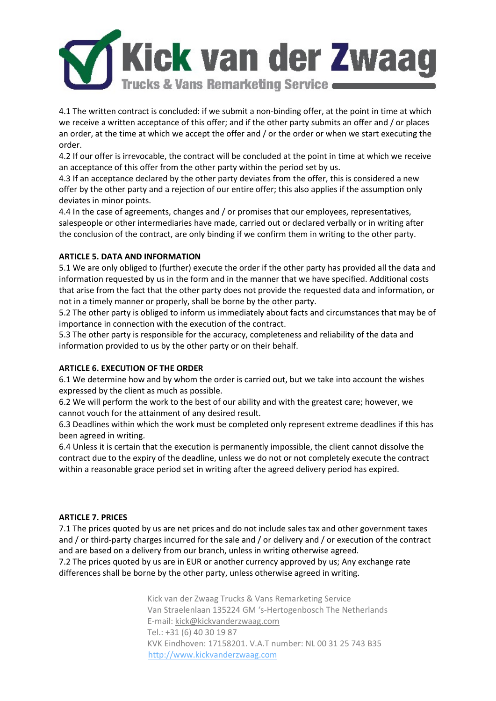

4.1 The written contract is concluded: if we submit a non-binding offer, at the point in time at which we receive a written acceptance of this offer; and if the other party submits an offer and / or places an order, at the time at which we accept the offer and / or the order or when we start executing the order.

4.2 If our offer is irrevocable, the contract will be concluded at the point in time at which we receive an acceptance of this offer from the other party within the period set by us.

4.3 If an acceptance declared by the other party deviates from the offer, this is considered a new offer by the other party and a rejection of our entire offer; this also applies if the assumption only deviates in minor points.

4.4 In the case of agreements, changes and / or promises that our employees, representatives, salespeople or other intermediaries have made, carried out or declared verbally or in writing after the conclusion of the contract, are only binding if we confirm them in writing to the other party.

## **ARTICLE 5. DATA AND INFORMATION**

5.1 We are only obliged to (further) execute the order if the other party has provided all the data and information requested by us in the form and in the manner that we have specified. Additional costs that arise from the fact that the other party does not provide the requested data and information, or not in a timely manner or properly, shall be borne by the other party.

5.2 The other party is obliged to inform us immediately about facts and circumstances that may be of importance in connection with the execution of the contract.

5.3 The other party is responsible for the accuracy, completeness and reliability of the data and information provided to us by the other party or on their behalf.

### **ARTICLE 6. EXECUTION OF THE ORDER**

6.1 We determine how and by whom the order is carried out, but we take into account the wishes expressed by the client as much as possible.

6.2 We will perform the work to the best of our ability and with the greatest care; however, we cannot vouch for the attainment of any desired result.

6.3 Deadlines within which the work must be completed only represent extreme deadlines if this has been agreed in writing.

6.4 Unless it is certain that the execution is permanently impossible, the client cannot dissolve the contract due to the expiry of the deadline, unless we do not or not completely execute the contract within a reasonable grace period set in writing after the agreed delivery period has expired.

### **ARTICLE 7. PRICES**

7.1 The prices quoted by us are net prices and do not include sales tax and other government taxes and / or third-party charges incurred for the sale and / or delivery and / or execution of the contract and are based on a delivery from our branch, unless in writing otherwise agreed.

7.2 The prices quoted by us are in EUR or another currency approved by us; Any exchange rate differences shall be borne by the other party, unless otherwise agreed in writing.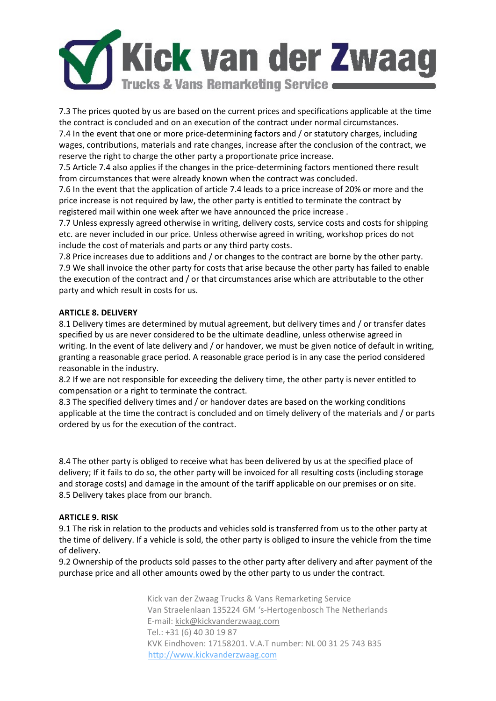

7.3 The prices quoted by us are based on the current prices and specifications applicable at the time the contract is concluded and on an execution of the contract under normal circumstances.

7.4 In the event that one or more price-determining factors and / or statutory charges, including wages, contributions, materials and rate changes, increase after the conclusion of the contract, we reserve the right to charge the other party a proportionate price increase.

7.5 Article 7.4 also applies if the changes in the price-determining factors mentioned there result from circumstances that were already known when the contract was concluded.

7.6 In the event that the application of article 7.4 leads to a price increase of 20% or more and the price increase is not required by law, the other party is entitled to terminate the contract by registered mail within one week after we have announced the price increase .

7.7 Unless expressly agreed otherwise in writing, delivery costs, service costs and costs for shipping etc. are never included in our price. Unless otherwise agreed in writing, workshop prices do not include the cost of materials and parts or any third party costs.

7.8 Price increases due to additions and / or changes to the contract are borne by the other party. 7.9 We shall invoice the other party for costs that arise because the other party has failed to enable the execution of the contract and / or that circumstances arise which are attributable to the other party and which result in costs for us.

### **ARTICLE 8. DELIVERY**

8.1 Delivery times are determined by mutual agreement, but delivery times and / or transfer dates specified by us are never considered to be the ultimate deadline, unless otherwise agreed in writing. In the event of late delivery and / or handover, we must be given notice of default in writing, granting a reasonable grace period. A reasonable grace period is in any case the period considered reasonable in the industry.

8.2 If we are not responsible for exceeding the delivery time, the other party is never entitled to compensation or a right to terminate the contract.

8.3 The specified delivery times and / or handover dates are based on the working conditions applicable at the time the contract is concluded and on timely delivery of the materials and / or parts ordered by us for the execution of the contract.

8.4 The other party is obliged to receive what has been delivered by us at the specified place of delivery; If it fails to do so, the other party will be invoiced for all resulting costs (including storage and storage costs) and damage in the amount of the tariff applicable on our premises or on site. 8.5 Delivery takes place from our branch.

## **ARTICLE 9. RISK**

9.1 The risk in relation to the products and vehicles sold is transferred from us to the other party at the time of delivery. If a vehicle is sold, the other party is obliged to insure the vehicle from the time of delivery.

9.2 Ownership of the products sold passes to the other party after delivery and after payment of the purchase price and all other amounts owed by the other party to us under the contract.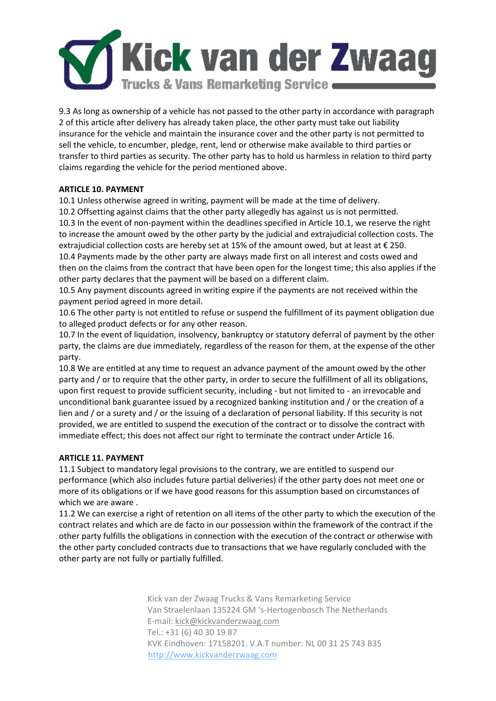

9.3 As long as ownership of a vehicle has not passed to the other party in accordance with paragraph 2 of this article after delivery has already taken place, the other party must take out liability insurance for the vehicle and maintain the insurance cover and the other party is not permitted to sell the vehicle, to encumber, pledge, rent, lend or otherwise make available to third parties or transfer to third parties as security. The other party has to hold us harmless in relation to third party claims regarding the vehicle for the period mentioned above.

## **ARTICLE 10. PAYMENT**

10.1 Unless otherwise agreed in writing, payment will be made at the time of delivery.

10.2 Offsetting against claims that the other party allegedly has against us is not permitted. 10.3 In the event of non-payment within the deadlines specified in Article 10.1, we reserve the right to increase the amount owed by the other party by the judicial and extrajudicial collection costs. The extrajudicial collection costs are hereby set at 15% of the amount owed, but at least at € 250. 10.4 Payments made by the other party are always made first on all interest and costs owed and then on the claims from the contract that have been open for the longest time; this also applies if the other party declares that the payment will be based on a different claim.

10.5 Any payment discounts agreed in writing expire if the payments are not received within the payment period agreed in more detail.

10.6 The other party is not entitled to refuse or suspend the fulfillment of its payment obligation due to alleged product defects or for any other reason.

10.7 In the event of liquidation, insolvency, bankruptcy or statutory deferral of payment by the other party, the claims are due immediately, regardless of the reason for them, at the expense of the other party.

10.8 We are entitled at any time to request an advance payment of the amount owed by the other party and / or to require that the other party, in order to secure the fulfillment of all its obligations, upon first request to provide sufficient security, including - but not limited to - an irrevocable and unconditional bank guarantee issued by a recognized banking institution and / or the creation of a lien and / or a surety and / or the issuing of a declaration of personal liability. If this security is not provided, we are entitled to suspend the execution of the contract or to dissolve the contract with immediate effect; this does not affect our right to terminate the contract under Article 16.

## **ARTICLE 11. PAYMENT**

11.1 Subject to mandatory legal provisions to the contrary, we are entitled to suspend our performance (which also includes future partial deliveries) if the other party does not meet one or more of its obligations or if we have good reasons for this assumption based on circumstances of which we are aware .

11.2 We can exercise a right of retention on all items of the other party to which the execution of the contract relates and which are de facto in our possession within the framework of the contract if the other party fulfills the obligations in connection with the execution of the contract or otherwise with the other party concluded contracts due to transactions that we have regularly concluded with the other party are not fully or partially fulfilled.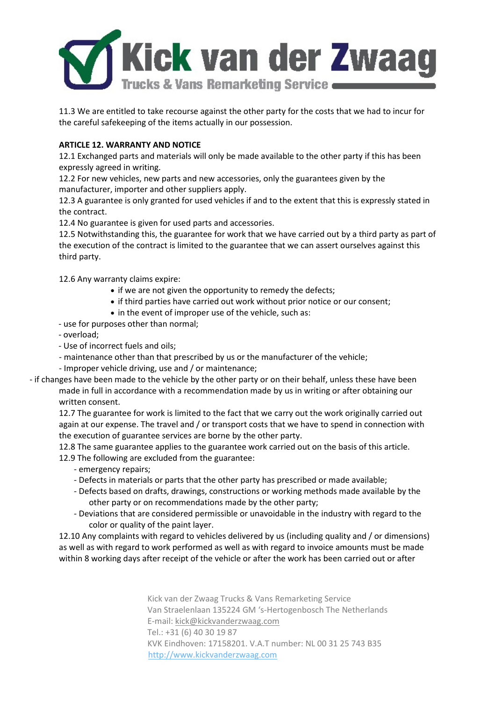

11.3 We are entitled to take recourse against the other party for the costs that we had to incur for the careful safekeeping of the items actually in our possession.

## **ARTICLE 12. WARRANTY AND NOTICE**

12.1 Exchanged parts and materials will only be made available to the other party if this has been expressly agreed in writing.

12.2 For new vehicles, new parts and new accessories, only the guarantees given by the manufacturer, importer and other suppliers apply.

12.3 A guarantee is only granted for used vehicles if and to the extent that this is expressly stated in the contract.

12.4 No guarantee is given for used parts and accessories.

12.5 Notwithstanding this, the guarantee for work that we have carried out by a third party as part of the execution of the contract is limited to the guarantee that we can assert ourselves against this third party.

12.6 Any warranty claims expire:

- if we are not given the opportunity to remedy the defects;
- if third parties have carried out work without prior notice or our consent;
- in the event of improper use of the vehicle, such as:
- use for purposes other than normal;
- overload;
- Use of incorrect fuels and oils;
- maintenance other than that prescribed by us or the manufacturer of the vehicle;
- Improper vehicle driving, use and / or maintenance;

- if changes have been made to the vehicle by the other party or on their behalf, unless these have been made in full in accordance with a recommendation made by us in writing or after obtaining our written consent.

12.7 The guarantee for work is limited to the fact that we carry out the work originally carried out again at our expense. The travel and / or transport costs that we have to spend in connection with the execution of guarantee services are borne by the other party.

12.8 The same guarantee applies to the guarantee work carried out on the basis of this article. 12.9 The following are excluded from the guarantee:

- emergency repairs;
- Defects in materials or parts that the other party has prescribed or made available;
- Defects based on drafts, drawings, constructions or working methods made available by the other party or on recommendations made by the other party;
- Deviations that are considered permissible or unavoidable in the industry with regard to the color or quality of the paint layer.

12.10 Any complaints with regard to vehicles delivered by us (including quality and / or dimensions) as well as with regard to work performed as well as with regard to invoice amounts must be made within 8 working days after receipt of the vehicle or after the work has been carried out or after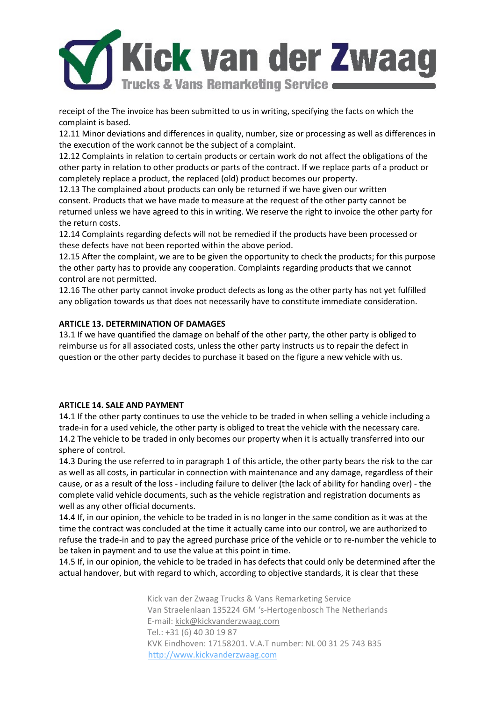

receipt of the The invoice has been submitted to us in writing, specifying the facts on which the complaint is based.

12.11 Minor deviations and differences in quality, number, size or processing as well as differences in the execution of the work cannot be the subject of a complaint.

12.12 Complaints in relation to certain products or certain work do not affect the obligations of the other party in relation to other products or parts of the contract. If we replace parts of a product or completely replace a product, the replaced (old) product becomes our property.

12.13 The complained about products can only be returned if we have given our written consent. Products that we have made to measure at the request of the other party cannot be returned unless we have agreed to this in writing. We reserve the right to invoice the other party for the return costs.

12.14 Complaints regarding defects will not be remedied if the products have been processed or these defects have not been reported within the above period.

12.15 After the complaint, we are to be given the opportunity to check the products; for this purpose the other party has to provide any cooperation. Complaints regarding products that we cannot control are not permitted.

12.16 The other party cannot invoke product defects as long as the other party has not yet fulfilled any obligation towards us that does not necessarily have to constitute immediate consideration.

## **ARTICLE 13. DETERMINATION OF DAMAGES**

13.1 If we have quantified the damage on behalf of the other party, the other party is obliged to reimburse us for all associated costs, unless the other party instructs us to repair the defect in question or the other party decides to purchase it based on the figure a new vehicle with us.

### **ARTICLE 14. SALE AND PAYMENT**

14.1 If the other party continues to use the vehicle to be traded in when selling a vehicle including a trade-in for a used vehicle, the other party is obliged to treat the vehicle with the necessary care. 14.2 The vehicle to be traded in only becomes our property when it is actually transferred into our sphere of control.

14.3 During the use referred to in paragraph 1 of this article, the other party bears the risk to the car as well as all costs, in particular in connection with maintenance and any damage, regardless of their cause, or as a result of the loss - including failure to deliver (the lack of ability for handing over) - the complete valid vehicle documents, such as the vehicle registration and registration documents as well as any other official documents.

14.4 If, in our opinion, the vehicle to be traded in is no longer in the same condition as it was at the time the contract was concluded at the time it actually came into our control, we are authorized to refuse the trade-in and to pay the agreed purchase price of the vehicle or to re-number the vehicle to be taken in payment and to use the value at this point in time.

14.5 If, in our opinion, the vehicle to be traded in has defects that could only be determined after the actual handover, but with regard to which, according to objective standards, it is clear that these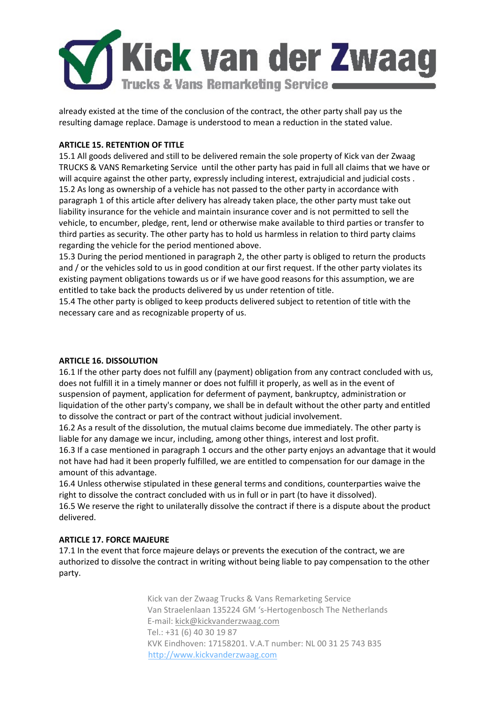

already existed at the time of the conclusion of the contract, the other party shall pay us the resulting damage replace. Damage is understood to mean a reduction in the stated value.

## **ARTICLE 15. RETENTION OF TITLE**

15.1 All goods delivered and still to be delivered remain the sole property of Kick van der Zwaag TRUCKS & VANS Remarketing Service until the other party has paid in full all claims that we have or will acquire against the other party, expressly including interest, extrajudicial and judicial costs. 15.2 As long as ownership of a vehicle has not passed to the other party in accordance with paragraph 1 of this article after delivery has already taken place, the other party must take out liability insurance for the vehicle and maintain insurance cover and is not permitted to sell the vehicle, to encumber, pledge, rent, lend or otherwise make available to third parties or transfer to third parties as security. The other party has to hold us harmless in relation to third party claims regarding the vehicle for the period mentioned above.

15.3 During the period mentioned in paragraph 2, the other party is obliged to return the products and / or the vehicles sold to us in good condition at our first request. If the other party violates its existing payment obligations towards us or if we have good reasons for this assumption, we are entitled to take back the products delivered by us under retention of title.

15.4 The other party is obliged to keep products delivered subject to retention of title with the necessary care and as recognizable property of us.

### **ARTICLE 16. DISSOLUTION**

16.1 If the other party does not fulfill any (payment) obligation from any contract concluded with us, does not fulfill it in a timely manner or does not fulfill it properly, as well as in the event of suspension of payment, application for deferment of payment, bankruptcy, administration or liquidation of the other party's company, we shall be in default without the other party and entitled to dissolve the contract or part of the contract without judicial involvement.

16.2 As a result of the dissolution, the mutual claims become due immediately. The other party is liable for any damage we incur, including, among other things, interest and lost profit.

16.3 If a case mentioned in paragraph 1 occurs and the other party enjoys an advantage that it would not have had had it been properly fulfilled, we are entitled to compensation for our damage in the amount of this advantage.

16.4 Unless otherwise stipulated in these general terms and conditions, counterparties waive the right to dissolve the contract concluded with us in full or in part (to have it dissolved).

16.5 We reserve the right to unilaterally dissolve the contract if there is a dispute about the product delivered.

## **ARTICLE 17. FORCE MAJEURE**

17.1 In the event that force majeure delays or prevents the execution of the contract, we are authorized to dissolve the contract in writing without being liable to pay compensation to the other party.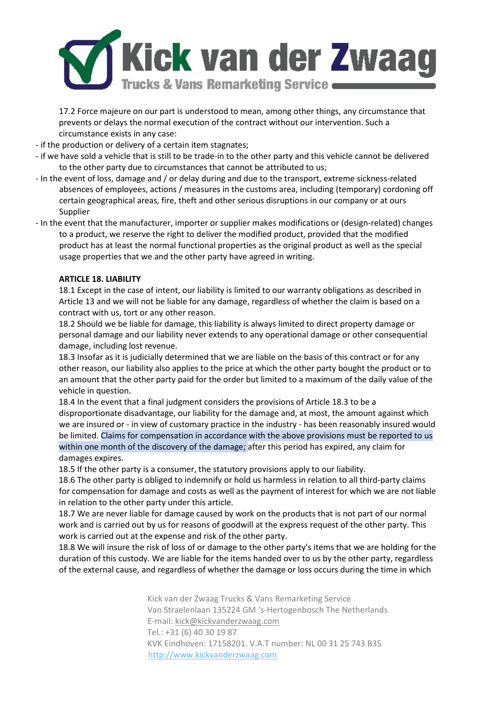

17.2 Force majeure on our part is understood to mean, among other things, any circumstance that prevents or delays the normal execution of the contract without our intervention. Such a circumstance exists in any case:

- if the production or delivery of a certain item stagnates;

- if we have sold a vehicle that is still to be trade-in to the other party and this vehicle cannot be delivered to the other party due to circumstances that cannot be attributed to us;
- In the event of loss, damage and / or delay during and due to the transport, extreme sickness-related absences of employees, actions / measures in the customs area, including (temporary) cordoning off certain geographical areas, fire, theft and other serious disruptions in our company or at ours Supplier
- In the event that the manufacturer, importer or supplier makes modifications or (design-related) changes to a product, we reserve the right to deliver the modified product, provided that the modified product has at least the normal functional properties as the original product as well as the special usage properties that we and the other party have agreed in writing.

### **ARTICLE 18. LIABILITY**

18.1 Except in the case of intent, our liability is limited to our warranty obligations as described in Article 13 and we will not be liable for any damage, regardless of whether the claim is based on a contract with us, tort or any other reason.

18.2 Should we be liable for damage, this liability is always limited to direct property damage or personal damage and our liability never extends to any operational damage or other consequential damage, including lost revenue.

18.3 Insofar as it is judicially determined that we are liable on the basis of this contract or for any other reason, our liability also applies to the price at which the other party bought the product or to an amount that the other party paid for the order but limited to a maximum of the daily value of the vehicle in question.

18.4 In the event that a final judgment considers the provisions of Article 18.3 to be a disproportionate disadvantage, our liability for the damage and, at most, the amount against which we are insured or - in view of customary practice in the industry - has been reasonably insured would be limited. Claims for compensation in accordance with the above provisions must be reported to us within one month of the discovery of the damage; after this period has expired, any claim for damages expires.

18.5 If the other party is a consumer, the statutory provisions apply to our liability.

18.6 The other party is obliged to indemnify or hold us harmless in relation to all third-party claims for compensation for damage and costs as well as the payment of interest for which we are not liable in relation to the other party under this article.

18.7 We are never liable for damage caused by work on the products that is not part of our normal work and is carried out by us for reasons of goodwill at the express request of the other party. This work is carried out at the expense and risk of the other party.

18.8 We will insure the risk of loss of or damage to the other party's items that we are holding for the duration of this custody. We are liable for the items handed over to us by the other party, regardless of the external cause, and regardless of whether the damage or loss occurs during the time in which